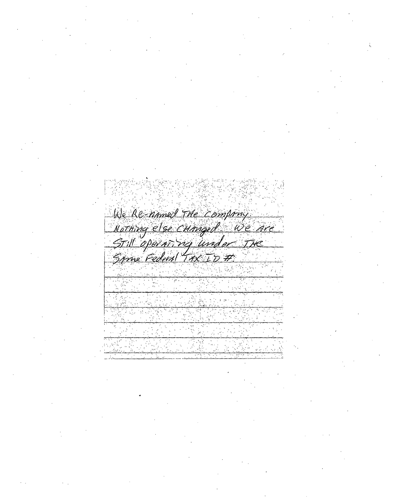We Re-named The Company Norming else cumquel We are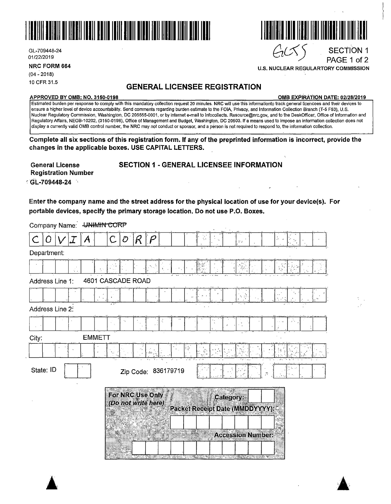

GL-709448-24 01/22/2019 {JzG~J SECTION 1

**NRC FORM 664** 

(04 - 2018) 10 CFR 31.5

# **GENERAL LICENSEE REGISTRATION**

#### **APPROVED BY 0MB: NO. 3150-0198 0MB EXPIRATION DATE: 02/28/2019**

**U.S. NUCLEAR REGULARTORY COMMISSION** 

PAGE 1 of 2

Estimated burden per response to comply with this mandatory collection request 20 minutes. NRG will use this informationto track-general licencees and their devices to ·ensure a higher level of device accountability. Send comments regarding burden estimate to the FOIA, Privacy, and Information Collection B'ranch (T-5 F53), U.S. Nuclear Regulatory Commission, Washington, DC 205555-0001, or by internet e-mail to lnfocollects. Resource@nrc.gov, and to the DeskOfficer, Office of Information and Regulatory Affairs, NEOB-10202, (3150-0198), Office of Management and Budget, Washington, DC 20503. If a means used to impose an information collection does not display a currently valid 0MB control number, the NRG may not conduct or sponsor, and a person is not required to respond to, the information collection.

**Complete all six sections of this registration form. If any of the preprinted information is incorrect, provide the changes in the applicable boxes. USE CAPITAL LETTERS.** 

# **SECTION 1** - **GENERAL LICENSEE INFORMATION**

**General License Registration Number**  <sup>0</sup>**Gt-709448-24** ·,

**Enter the company name and the street address for the physical location of use for your device(s). For portable devices, specify the primary storage location. Do not use P .0. Boxes.** 

| Company Name: 4 HHMHN CORP                                                              |                                     |  |  |  |  |  |  |  |
|-----------------------------------------------------------------------------------------|-------------------------------------|--|--|--|--|--|--|--|
| A                                                                                       | O<br>C<br>$\mathcal{X}^{\times}$ in |  |  |  |  |  |  |  |
| Department:                                                                             |                                     |  |  |  |  |  |  |  |
|                                                                                         |                                     |  |  |  |  |  |  |  |
| Address Line 1:                                                                         | 4601 CASCADE ROAD                   |  |  |  |  |  |  |  |
|                                                                                         |                                     |  |  |  |  |  |  |  |
| Address Line 2:                                                                         |                                     |  |  |  |  |  |  |  |
|                                                                                         |                                     |  |  |  |  |  |  |  |
| <b>EMMETT</b><br>City:                                                                  |                                     |  |  |  |  |  |  |  |
|                                                                                         |                                     |  |  |  |  |  |  |  |
| State: ID                                                                               | Zip Code: 836179719                 |  |  |  |  |  |  |  |
| For NRC Use Only<br>Category:<br>(Do not write here)<br>Packet Receipt Date (MMDDYYYY): |                                     |  |  |  |  |  |  |  |
|                                                                                         | <b>Accession Number:</b>            |  |  |  |  |  |  |  |



 $\blacktriangle$ 

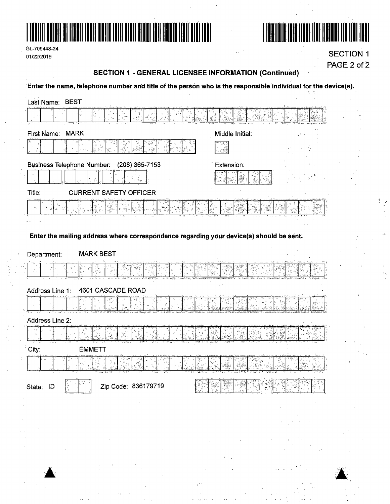





**SECTION 1** PAGE 2 of 2

# **SECTION 1 - GENERAL LICENSEE INFORMATION (Continued)**

Enter the name, telephone number and title of the person who is the responsible individual for the device(s).  $\epsilon_j = \ell_j$ 

| Last Name: BEST                                                                         |                                                   |
|-----------------------------------------------------------------------------------------|---------------------------------------------------|
| ູ້ນ<br>ອື່ນຜ່<br>ອື <sup>່ງ</sup> ທາ<br>્રી સુર<br>પુરુષ                                |                                                   |
| First Name: MARK                                                                        | Middle Initial:                                   |
|                                                                                         |                                                   |
| <b>Business Telephone Number:</b><br>(208) 365-7153                                     | Extension:                                        |
|                                                                                         | Þ                                                 |
| Title:<br><b>CURRENT SAFETY OFFICER</b>                                                 |                                                   |
| 鬣                                                                                       |                                                   |
|                                                                                         |                                                   |
| Enter the mailing address where correspondence regarding your device(s) should be sent. |                                                   |
| <b>MARK BEST</b><br>Department:                                                         |                                                   |
|                                                                                         |                                                   |
| 4601 CASCADE ROAD<br>Address Line 1:                                                    |                                                   |
|                                                                                         |                                                   |
| Address Line 2:                                                                         |                                                   |
| $\mathcal{S}$<br>N,                                                                     |                                                   |
| City:<br><b>EMMETT</b>                                                                  |                                                   |
|                                                                                         |                                                   |
| S.<br>lera×                                                                             |                                                   |
| Zip Code: 836179719<br>State: ID<br>P                                                   |                                                   |
| <b>Contract Contract</b>                                                                |                                                   |
|                                                                                         |                                                   |
|                                                                                         |                                                   |
|                                                                                         |                                                   |
|                                                                                         | $\mathbf{v}(\mathbf{u}) = \mathbf{u}(\mathbf{u})$ |
| $\mathcal{O}(\mathcal{O}(\log n))$ .                                                    |                                                   |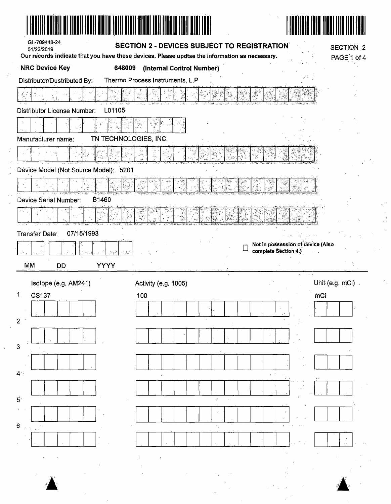| GL-709448-24<br>01/22/2019<br>Our records indicate that you have these devices. Please updtae the information as necessary.<br><b>NRC Device Key</b><br>Distributor/Dustributed By:<br>L01105<br>Distributor License Number: | <b>SECTION 2 - DEVICES SUBJECT TO REGISTRATION</b><br>648009<br>(Internal Control Number)<br>Thermo Process Instruments, L.P |                                                           | SECTION 2<br>PAGE 1 of 4 |
|------------------------------------------------------------------------------------------------------------------------------------------------------------------------------------------------------------------------------|------------------------------------------------------------------------------------------------------------------------------|-----------------------------------------------------------|--------------------------|
|                                                                                                                                                                                                                              |                                                                                                                              |                                                           |                          |
|                                                                                                                                                                                                                              |                                                                                                                              |                                                           |                          |
|                                                                                                                                                                                                                              |                                                                                                                              |                                                           |                          |
|                                                                                                                                                                                                                              |                                                                                                                              |                                                           |                          |
|                                                                                                                                                                                                                              |                                                                                                                              |                                                           |                          |
|                                                                                                                                                                                                                              |                                                                                                                              |                                                           |                          |
|                                                                                                                                                                                                                              | 일 (영)<br>사건<br>정책                                                                                                            |                                                           |                          |
| Manufacturer name:                                                                                                                                                                                                           | TN TECHNOLOGIES, INC.                                                                                                        |                                                           |                          |
|                                                                                                                                                                                                                              | ٦.,                                                                                                                          |                                                           |                          |
| Device Model (Not Source Model): 5201                                                                                                                                                                                        |                                                                                                                              |                                                           |                          |
|                                                                                                                                                                                                                              |                                                                                                                              |                                                           |                          |
|                                                                                                                                                                                                                              |                                                                                                                              |                                                           |                          |
| Device Serial Number:<br><b>B1460</b>                                                                                                                                                                                        |                                                                                                                              |                                                           |                          |
|                                                                                                                                                                                                                              |                                                                                                                              |                                                           |                          |
| 07/15/1993<br>Transfer Date:                                                                                                                                                                                                 |                                                                                                                              |                                                           |                          |
|                                                                                                                                                                                                                              |                                                                                                                              | Not in possession of device (Also<br>complete Section 4.) |                          |
| التوا                                                                                                                                                                                                                        | 3.                                                                                                                           |                                                           |                          |
| <b>YYYY</b><br>MM<br><b>DD</b>                                                                                                                                                                                               |                                                                                                                              |                                                           |                          |
| Isotope (e.g. AM241)                                                                                                                                                                                                         | Activity (e.g. 1005)                                                                                                         |                                                           | Unit (e.g. mCi)          |
| <b>CS137</b>                                                                                                                                                                                                                 | 100                                                                                                                          | mCi                                                       |                          |
|                                                                                                                                                                                                                              |                                                                                                                              |                                                           |                          |
| 2                                                                                                                                                                                                                            |                                                                                                                              |                                                           |                          |
|                                                                                                                                                                                                                              |                                                                                                                              |                                                           |                          |
| 3                                                                                                                                                                                                                            |                                                                                                                              |                                                           |                          |
|                                                                                                                                                                                                                              |                                                                                                                              |                                                           |                          |
| 4.                                                                                                                                                                                                                           |                                                                                                                              |                                                           |                          |
|                                                                                                                                                                                                                              |                                                                                                                              |                                                           |                          |
| $\vec{5} \cdot$                                                                                                                                                                                                              |                                                                                                                              |                                                           |                          |
|                                                                                                                                                                                                                              |                                                                                                                              |                                                           |                          |
|                                                                                                                                                                                                                              |                                                                                                                              |                                                           |                          |
|                                                                                                                                                                                                                              |                                                                                                                              |                                                           |                          |
|                                                                                                                                                                                                                              |                                                                                                                              |                                                           |                          |
|                                                                                                                                                                                                                              |                                                                                                                              |                                                           |                          |
|                                                                                                                                                                                                                              |                                                                                                                              |                                                           |                          |
| 6                                                                                                                                                                                                                            |                                                                                                                              |                                                           |                          |

 $\frac{1}{\sqrt{2}}$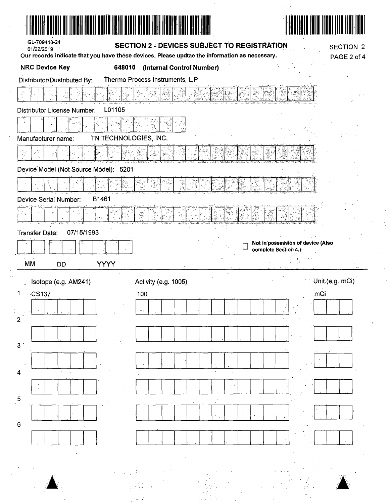| <b>NRC Device Key</b>                                | 648010                | (Internal Control Number)       | Our records indicate that you have these devices. Please updtae the information as necessary. |                                   |     | <b>SECTION 2</b><br>PAGE 2 of 4 |
|------------------------------------------------------|-----------------------|---------------------------------|-----------------------------------------------------------------------------------------------|-----------------------------------|-----|---------------------------------|
| Distributor/Dustributed By:                          |                       | Thermo Process Instruments, L.P |                                                                                               |                                   |     |                                 |
|                                                      |                       |                                 |                                                                                               |                                   |     |                                 |
| <b>Distributor License Number:</b>                   | L01105                |                                 |                                                                                               |                                   |     |                                 |
|                                                      |                       |                                 |                                                                                               |                                   |     |                                 |
| Manufacturer name:                                   | TN TECHNOLOGIES, INC. |                                 |                                                                                               |                                   |     |                                 |
| $\frac{1}{2}$                                        |                       |                                 |                                                                                               |                                   |     |                                 |
| Device Model (Not Source Model): 5201                |                       |                                 |                                                                                               |                                   |     |                                 |
|                                                      |                       |                                 |                                                                                               |                                   |     |                                 |
| Device Serial Number:                                | B1461                 |                                 |                                                                                               |                                   |     |                                 |
| $\mathcal{P}_{\mathcal{I}_2}$                        |                       |                                 |                                                                                               |                                   |     |                                 |
| 07/15/1993<br>Transfer Date:                         |                       |                                 |                                                                                               |                                   |     |                                 |
|                                                      |                       |                                 |                                                                                               | Not in possession of device (Also |     |                                 |
|                                                      |                       |                                 |                                                                                               | complete Section 4.)              |     |                                 |
|                                                      |                       |                                 |                                                                                               |                                   |     |                                 |
| <b>MM</b><br><b>DD</b>                               | <b>YYYY</b>           |                                 | $\sim$                                                                                        |                                   |     |                                 |
| Isotope (e.g. AM241)                                 |                       | Activity (e.g. 1005)            |                                                                                               |                                   |     | Unit (e.g. mCi)                 |
| $\cdot$ CŚ137                                        |                       | 100                             |                                                                                               |                                   | mCi |                                 |
| $\mathbf 1$<br>$\mathbf{2}$                          |                       |                                 |                                                                                               |                                   |     |                                 |
|                                                      |                       |                                 |                                                                                               |                                   |     |                                 |
|                                                      |                       |                                 |                                                                                               |                                   |     |                                 |
|                                                      |                       |                                 |                                                                                               |                                   |     |                                 |
|                                                      |                       |                                 | $\ddot{\phantom{1}}$                                                                          |                                   |     |                                 |
|                                                      |                       |                                 |                                                                                               |                                   |     |                                 |
|                                                      |                       |                                 |                                                                                               |                                   |     |                                 |
|                                                      |                       |                                 |                                                                                               |                                   |     |                                 |
| 3 <sup>°</sup><br>4<br>$\overline{5}$<br>$\mathbf 6$ |                       |                                 |                                                                                               |                                   | г.  |                                 |

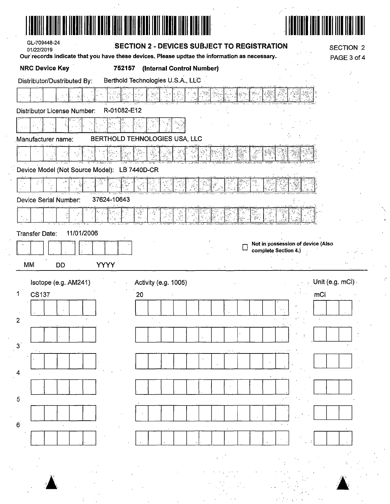| GL-709448-24<br>01/22/2019          |                                                                                               | <b>SECTION 2 - DEVICES SUBJECT TO REGISTRATION</b> |                                   | SECTION 2                |
|-------------------------------------|-----------------------------------------------------------------------------------------------|----------------------------------------------------|-----------------------------------|--------------------------|
|                                     | Our records indicate that you have these devices. Please updtae the information as necessary. |                                                    |                                   | PAGE 3 of 4              |
| <b>NRC Device Key</b>               | 752157<br>(Internal Control Number)                                                           |                                                    |                                   |                          |
| Distributor/Dustributed By:         | Berthold Technologies U.S.A., LLC                                                             |                                                    |                                   |                          |
|                                     |                                                                                               |                                                    |                                   |                          |
| Distributor License Number:         | R-01082-E12                                                                                   |                                                    |                                   |                          |
|                                     |                                                                                               |                                                    |                                   |                          |
| Manufacturer name:                  | BERTHOLD TEHNOLOGIES USA, LLC                                                                 |                                                    |                                   |                          |
|                                     |                                                                                               |                                                    |                                   |                          |
| Device Model (Not Source Model):    | LB 7440D-CR                                                                                   |                                                    |                                   |                          |
|                                     |                                                                                               |                                                    |                                   |                          |
| Device Serial Number:               | 37624-10643                                                                                   |                                                    |                                   |                          |
|                                     |                                                                                               |                                                    |                                   |                          |
| 11/01/2006<br><b>Transfer Date:</b> |                                                                                               |                                                    |                                   |                          |
|                                     |                                                                                               |                                                    | Not in possession of device (Also |                          |
|                                     |                                                                                               |                                                    | complete Section 4.)              |                          |
| MM<br>DD                            | <b>YYYY</b>                                                                                   |                                                    |                                   |                          |
| Isotope (e.g. AM241)                | Activity (e.g. 1005)                                                                          |                                                    |                                   | $\cdots$ Unit (e.g. mCi) |
| CS137                               | 20                                                                                            |                                                    | mCi                               |                          |
|                                     |                                                                                               |                                                    |                                   |                          |
|                                     |                                                                                               |                                                    |                                   |                          |
| $\overline{2}$                      |                                                                                               |                                                    |                                   |                          |
|                                     |                                                                                               |                                                    |                                   |                          |
| 3                                   |                                                                                               |                                                    |                                   |                          |
| 4                                   |                                                                                               |                                                    |                                   |                          |
|                                     |                                                                                               |                                                    |                                   |                          |
| $\overline{5}$                      |                                                                                               |                                                    |                                   |                          |
|                                     |                                                                                               |                                                    |                                   |                          |
| $\mathbf 6$                         |                                                                                               |                                                    |                                   |                          |
|                                     |                                                                                               |                                                    |                                   |                          |
|                                     |                                                                                               |                                                    |                                   |                          |
|                                     |                                                                                               |                                                    |                                   |                          |
|                                     |                                                                                               |                                                    |                                   |                          |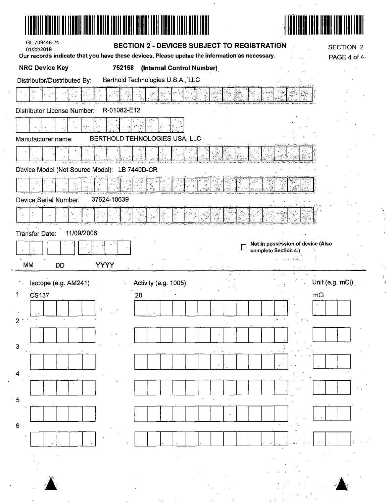|                                              |                               |                                   | Our records indicate that you have these devices. Please updtae the information as necessary. |                                   |     | PAGE 4 of 4     |
|----------------------------------------------|-------------------------------|-----------------------------------|-----------------------------------------------------------------------------------------------|-----------------------------------|-----|-----------------|
| <b>NRC Device Key</b>                        | 752158                        |                                   | (Internal Control Number)                                                                     |                                   |     |                 |
| Distributor/Dustributed By:                  |                               | Berthold Technologies U.S.A., LLC |                                                                                               |                                   |     |                 |
|                                              |                               |                                   |                                                                                               |                                   |     |                 |
| <b>Distributor License Number:</b>           | R-01082-E12                   |                                   |                                                                                               |                                   |     |                 |
|                                              |                               | $,\hat{\mathcal{L}}$ .            |                                                                                               |                                   |     |                 |
| Manufacturer name:                           | BERTHOLD TEHNOLOGIES USA, LLC |                                   |                                                                                               |                                   |     |                 |
|                                              |                               |                                   |                                                                                               |                                   |     |                 |
| Device Model (Not Source Model): LB 7440D-CR |                               |                                   |                                                                                               |                                   |     |                 |
|                                              |                               |                                   |                                                                                               |                                   |     |                 |
| Device Serial Number:                        | 37624-10639                   |                                   |                                                                                               |                                   |     |                 |
| $\omega_{\rm{p}}$                            |                               |                                   |                                                                                               |                                   |     |                 |
| 11/09/2006                                   |                               |                                   |                                                                                               |                                   |     |                 |
| Tränsfer Date:                               |                               |                                   |                                                                                               | Not in possession of device (Also |     |                 |
|                                              |                               |                                   |                                                                                               | complete Section 4.)              |     |                 |
| МM<br><b>DD</b>                              | <b>YYYY</b>                   |                                   |                                                                                               |                                   |     |                 |
|                                              |                               |                                   |                                                                                               |                                   |     |                 |
| Isotope (e.g. AM241)                         |                               | Activity (e.g. 1005)              |                                                                                               |                                   |     | Unit (e.g. mCi) |
| <b>CS137</b>                                 |                               | 20                                |                                                                                               |                                   | mCi |                 |
| $1^{\circ}$                                  |                               |                                   |                                                                                               |                                   |     |                 |
|                                              |                               |                                   |                                                                                               |                                   |     |                 |
|                                              |                               |                                   |                                                                                               |                                   |     |                 |
|                                              |                               |                                   |                                                                                               |                                   |     |                 |
|                                              |                               |                                   |                                                                                               |                                   |     |                 |
|                                              |                               |                                   |                                                                                               |                                   |     |                 |
| 3<br>4<br>$\overline{5}$                     |                               |                                   |                                                                                               |                                   |     |                 |
|                                              |                               |                                   |                                                                                               |                                   |     |                 |
| $6^{\circ}$                                  |                               |                                   |                                                                                               |                                   |     |                 |
|                                              |                               |                                   |                                                                                               |                                   |     |                 |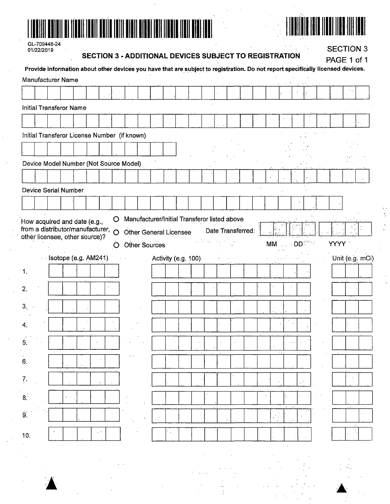



GL-709448-24 01/22/2019

 $\sim$ 

### **SECTION 3 - ADDITIONAL DEVICES SUBJECT TO REGISTRATION**

**SECTION 3** 

|                     |  |                                |                                  |  |         | SECTION 3 - ADDITIONAL DEVICES SUBJECT TO REGISTRATION<br>Provide information about other devices you have that are subject to registration. Do not report specifically licensed devices. |  |  |                      |  |                   |    |                  |  |             | PAGE 1 of 1 |                 |
|---------------------|--|--------------------------------|----------------------------------|--|---------|-------------------------------------------------------------------------------------------------------------------------------------------------------------------------------------------|--|--|----------------------|--|-------------------|----|------------------|--|-------------|-------------|-----------------|
|                     |  | Manufacturer Name              |                                  |  |         |                                                                                                                                                                                           |  |  |                      |  |                   |    |                  |  |             |             |                 |
|                     |  |                                |                                  |  |         |                                                                                                                                                                                           |  |  |                      |  |                   |    |                  |  |             |             |                 |
|                     |  | <b>Initial Transferor Name</b> |                                  |  |         |                                                                                                                                                                                           |  |  |                      |  |                   |    |                  |  |             |             |                 |
|                     |  |                                |                                  |  |         |                                                                                                                                                                                           |  |  |                      |  |                   |    |                  |  |             |             |                 |
|                     |  |                                |                                  |  |         | Initial Transferor License Number (if known)                                                                                                                                              |  |  |                      |  |                   |    |                  |  |             |             |                 |
|                     |  |                                |                                  |  |         |                                                                                                                                                                                           |  |  |                      |  |                   |    |                  |  |             |             |                 |
|                     |  |                                |                                  |  |         | Device Model Number (Not Source Model)                                                                                                                                                    |  |  |                      |  |                   |    |                  |  |             |             |                 |
|                     |  |                                |                                  |  |         |                                                                                                                                                                                           |  |  |                      |  |                   |    |                  |  |             |             |                 |
|                     |  | <b>Device Serial Number</b>    |                                  |  |         |                                                                                                                                                                                           |  |  |                      |  |                   |    |                  |  |             |             |                 |
|                     |  |                                |                                  |  |         |                                                                                                                                                                                           |  |  |                      |  |                   |    |                  |  |             |             |                 |
|                     |  |                                | How acquired and date (e.g.,     |  | $\circ$ | Manufacturer/Initial Transferor listed above                                                                                                                                              |  |  |                      |  |                   |    |                  |  |             |             |                 |
|                     |  |                                | from a distributor/manufacturer, |  | $\circ$ | <b>Other General Licensee</b>                                                                                                                                                             |  |  |                      |  | Date Transferred: |    |                  |  |             |             |                 |
|                     |  |                                | other licensee, other source)?   |  | O       | <b>Other Sources</b>                                                                                                                                                                      |  |  |                      |  |                   | MM | <b>Example</b> 1 |  | <b>YYYY</b> |             |                 |
|                     |  |                                | Isotope (e.g. AM241)             |  |         |                                                                                                                                                                                           |  |  | Activity (e.g. 100). |  |                   |    |                  |  |             |             | Unit (e.g. mCi) |
| 1:                  |  |                                |                                  |  |         |                                                                                                                                                                                           |  |  |                      |  |                   |    |                  |  |             |             |                 |
| 2.                  |  |                                |                                  |  |         |                                                                                                                                                                                           |  |  |                      |  |                   |    |                  |  |             |             |                 |
| 3.                  |  |                                |                                  |  |         |                                                                                                                                                                                           |  |  |                      |  |                   |    |                  |  |             |             |                 |
|                     |  |                                |                                  |  |         |                                                                                                                                                                                           |  |  |                      |  |                   |    |                  |  |             |             |                 |
| 4.                  |  |                                |                                  |  |         |                                                                                                                                                                                           |  |  |                      |  |                   |    |                  |  |             |             |                 |
| 5.1                 |  |                                |                                  |  |         |                                                                                                                                                                                           |  |  |                      |  |                   |    |                  |  |             |             |                 |
| 6.                  |  |                                |                                  |  |         |                                                                                                                                                                                           |  |  |                      |  |                   |    |                  |  |             |             |                 |
| $\overline{?}$ .    |  |                                |                                  |  |         |                                                                                                                                                                                           |  |  |                      |  |                   |    |                  |  |             |             |                 |
| 8 <sup>1</sup>      |  |                                |                                  |  |         |                                                                                                                                                                                           |  |  |                      |  |                   |    |                  |  |             |             |                 |
|                     |  |                                |                                  |  |         |                                                                                                                                                                                           |  |  |                      |  |                   |    |                  |  |             |             |                 |
| $\ddot{\mathbf{g}}$ |  |                                |                                  |  |         |                                                                                                                                                                                           |  |  |                      |  |                   |    |                  |  |             |             |                 |
| 10.                 |  |                                |                                  |  |         |                                                                                                                                                                                           |  |  |                      |  |                   |    |                  |  |             |             |                 |
|                     |  |                                |                                  |  |         |                                                                                                                                                                                           |  |  |                      |  |                   |    |                  |  |             |             |                 |
|                     |  |                                |                                  |  |         |                                                                                                                                                                                           |  |  |                      |  |                   |    |                  |  |             |             |                 |
|                     |  |                                |                                  |  |         |                                                                                                                                                                                           |  |  |                      |  |                   |    |                  |  |             |             |                 |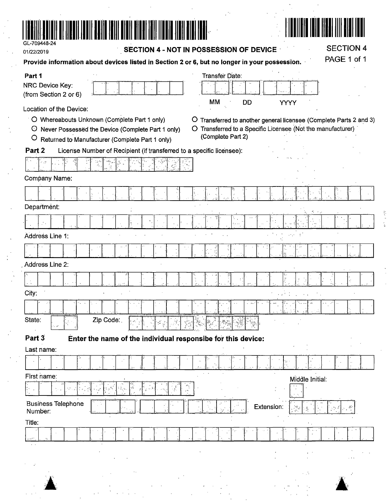



**SECTION 4** 

PAGE 1 of 1

ţ.  $\frac{1}{3}$ 

| UL-105440-2* |  |
|--------------|--|
|              |  |
| 01/22/2019   |  |
|              |  |

SECTION 4 - NOT IN POSSESSION OF DEVICE

Provide information about devices listed in Section 2 or 6, but no longer in your possession.

| Part 1                               |                                                                      | Transfer Date:                                           |                                                                  |
|--------------------------------------|----------------------------------------------------------------------|----------------------------------------------------------|------------------------------------------------------------------|
| NRC Device Key:                      |                                                                      |                                                          |                                                                  |
| (from Section 2 or 6)                |                                                                      | МM<br>DD                                                 | <b>YYYY</b>                                                      |
| Location of the Device:              |                                                                      |                                                          |                                                                  |
|                                      | O Whereabouts Unknown (Complete Part 1 only)                         | O.                                                       | Transferred to another general licensee (Complete Parts 2 and 3) |
| $\circ$                              | Never Possessed the Device (Complete Part 1 only)                    | (Complete Part 2)                                        | O Transferred to a Specific Licensee (Not the manufacturer)      |
| $\circ$                              | Returned to Manufacturer (Complete Part 1 only)                      |                                                          |                                                                  |
| Part <sub>2</sub>                    | License Number of Recipient (if transferred to a specific licensee): |                                                          |                                                                  |
|                                      |                                                                      |                                                          |                                                                  |
| Company Name:                        |                                                                      |                                                          |                                                                  |
|                                      |                                                                      |                                                          |                                                                  |
| Department:                          |                                                                      |                                                          |                                                                  |
|                                      |                                                                      |                                                          |                                                                  |
| Address Line 1:                      |                                                                      |                                                          | - 11<br>$\mathcal{F}^{\mathcal{A}}_{\mathcal{A}}$                |
|                                      |                                                                      |                                                          |                                                                  |
| Address Line 2:                      |                                                                      |                                                          |                                                                  |
|                                      |                                                                      |                                                          |                                                                  |
| City:                                |                                                                      |                                                          |                                                                  |
|                                      |                                                                      |                                                          |                                                                  |
| State:                               | Zip Code:                                                            |                                                          |                                                                  |
|                                      |                                                                      | $\Gamma_{\rm e} \bar{\psi}$ ,<br>dhe e                   |                                                                  |
| Part 3                               | Enter the name of the individual responsibe for this device:         |                                                          |                                                                  |
| Last name:                           |                                                                      |                                                          |                                                                  |
|                                      |                                                                      |                                                          |                                                                  |
| First name:                          |                                                                      |                                                          | Middle Initial:                                                  |
| 77°                                  | $\delta_{\rm S}$<br>្ន                                               | $\begin{bmatrix} \sigma^2 u \\ \sigma^2 u \end{bmatrix}$ |                                                                  |
| <b>Business Telephone</b><br>Number: |                                                                      |                                                          | Extension:<br>ي جو <sup>ل</sup> .                                |
| Title:                               |                                                                      |                                                          | $\mathbf{r}_{\rm eff}$                                           |
| $\lambda$ and $\lambda$              |                                                                      |                                                          | S exis                                                           |
|                                      |                                                                      |                                                          |                                                                  |
|                                      |                                                                      |                                                          |                                                                  |
|                                      |                                                                      |                                                          | УD.                                                              |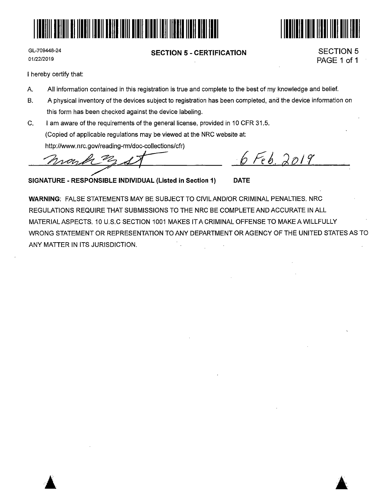



GL-709448-24 01/22/2019

#### **SECTION 5** - **CERTIFICATION**

SECTION 5 PAGE 1 of 1

> **A**   $\blacktriangle$

I hereby certify that:

- A. All information contained in this registration is true and complete to the best of my knowledge and belief.
- B. A physical inventory of the devices subject to registration has been completed, and the device information on this form has been checked against the device labeling.
- C. I am aware of the requirements of the general license, provided in 10 CFR 31.5. (Copied of applicable regulations may be viewed at the NRC website at: http://www.nrc.gov/reading-rm/doc-collections/cfr) Tam aware of the requirements of the general license, provided in To CFR 31.5.<br>
(Copied of applicable regulations may be viewed at the NRC website at:<br>
http://www.nrc.gov/reading-rm/doc-collections/cfr)<br>
2019<br>
ATURE - RESP

**SIGNATURE** - **RESPONSIBLE INDIVIDUAL (Listed in Section 1) DATE** 

**WARNING:** FALSE STATEMENTS MAY BE SUBJECT TO CIVILAND/OR CRIMINAL PENALTIES. NRC REGULATIONS REQUIRE THAT SUBMISSIONS TO THE NRC BE COMPLETE AND ACCURATE IN ALL MATERIAL ASPECTS. 10 U.S.C SECTION 1001 MAKES IT A CRIMINAL OFFENSE TO MAKE A WILLFULLY WRONG STATEMENT OR REPRESENTATION TO ANY DEPARTMENT OR AGENCY OF THE UNITED STATES AS TO ANY MATTER IN ITS JURISDICTION.